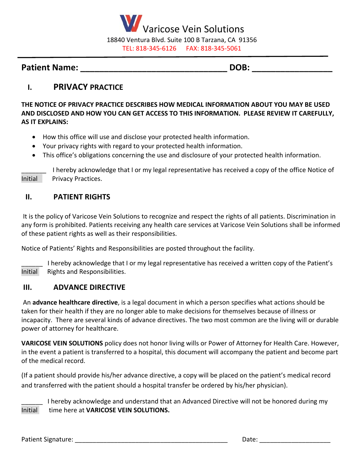

## **Patient Name: \_\_\_\_\_\_\_\_\_\_\_\_\_\_\_\_\_\_\_\_\_\_\_\_\_\_\_\_\_\_\_ DOB: \_\_\_\_\_\_\_\_\_\_\_\_\_\_\_\_\_**

# **I. PRIVACY PRACTICE**

**THE NOTICE OF PRIVACY PRACTICE DESCRIBES HOW MEDICAL INFORMATION ABOUT YOU MAY BE USED AND DISCLOSED AND HOW YOU CAN GET ACCESS TO THIS INFORMATION. PLEASE REVIEW IT CAREFULLY, AS IT EXPLAINS:**

- How this office will use and disclose your protected health information.
- Your privacy rights with regard to your protected health information.
- This office's obligations concerning the use and disclosure of your protected health information.

I hereby acknowledge that I or my legal representative has received a copy of the office Notice of Initial Privacy Practices.

### **II. PATIENT RIGHTS**

It is the policy of Varicose Vein Solutions to recognize and respect the rights of all patients. Discrimination in any form is prohibited. Patients receiving any health care services at Varicose Vein Solutions shall be informed of these patient rights as well as their responsibilities.

Notice of Patients' Rights and Responsibilities are posted throughout the facility.

I hereby acknowledge that I or my legal representative has received a written copy of the Patient's Initial Rights and Responsibilities.

#### **III. ADVANCE DIRECTIVE**

An **advance healthcare directive**, is a legal document in which a person specifies what actions should be taken for their health if they are no longer able to make decisions for themselves because of illness or incapacity. There are several kinds of advance directives. The two most common are the living will or durable power of attorney for healthcare.

**VARICOSE VEIN SOLUTIONS** policy does not honor living wills or Power of Attorney for Health Care. However, in the event a patient is transferred to a hospital, this document will accompany the patient and become part of the medical record.

(If a patient should provide his/her advance directive, a copy will be placed on the patient's medical record and transferred with the patient should a hospital transfer be ordered by his/her physician).

I hereby acknowledge and understand that an Advanced Directive will not be honored during my Initial time here at **VARICOSE VEIN SOLUTIONS.**

Patient Signature: \_\_\_\_\_\_\_\_\_\_\_\_\_\_\_\_\_\_\_\_\_\_\_\_\_\_\_\_\_\_\_\_\_\_\_\_\_\_\_\_\_\_\_ Date: \_\_\_\_\_\_\_\_\_\_\_\_\_\_\_\_\_\_\_\_